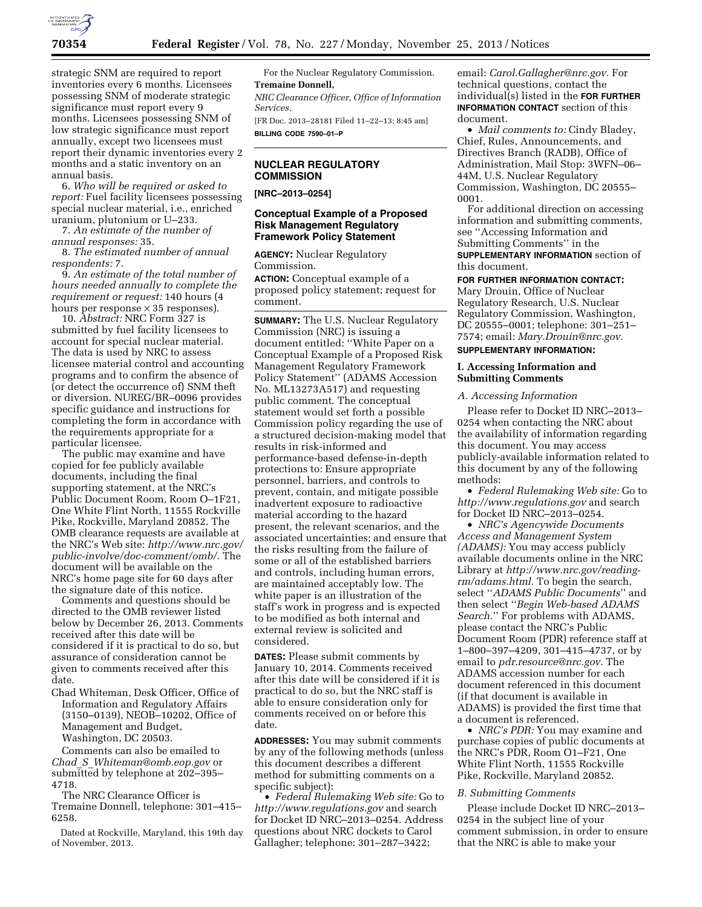

strategic SNM are required to report inventories every 6 months. Licensees possessing SNM of moderate strategic significance must report every 9 months. Licensees possessing SNM of low strategic significance must report annually, except two licensees must report their dynamic inventories every 2 months and a static inventory on an annual basis.

6. *Who will be required or asked to report:* Fuel facility licensees possessing special nuclear material, i.e., enriched uranium, plutonium or U–233.

7. *An estimate of the number of annual responses:* 35.

8. *The estimated number of annual respondents:* 7.

9. *An estimate of the total number of hours needed annually to complete the requirement or request:* 140 hours (4 hours per response  $\times$  35 responses).

10. *Abstract:* NRC Form 327 is submitted by fuel facility licensees to account for special nuclear material. The data is used by NRC to assess licensee material control and accounting programs and to confirm the absence of (or detect the occurrence of) SNM theft or diversion. NUREG/BR–0096 provides specific guidance and instructions for completing the form in accordance with the requirements appropriate for a particular licensee.

The public may examine and have copied for fee publicly available documents, including the final supporting statement, at the NRC's Public Document Room, Room O–1F21, One White Flint North, 11555 Rockville Pike, Rockville, Maryland 20852. The OMB clearance requests are available at the NRC's Web site: *[http://www.nrc.gov/](http://www.nrc.gov/public-involve/doc-comment/omb/) [public-involve/doc-comment/omb/](http://www.nrc.gov/public-involve/doc-comment/omb/)*. The document will be available on the NRC's home page site for 60 days after the signature date of this notice.

Comments and questions should be directed to the OMB reviewer listed below by December 26, 2013. Comments received after this date will be considered if it is practical to do so, but assurance of consideration cannot be given to comments received after this date.

Chad Whiteman, Desk Officer, Office of Information and Regulatory Affairs (3150–0139), NEOB–10202, Office of Management and Budget, Washington, DC 20503.

Comments can also be emailed to *Chad*\_*S*\_*[Whiteman@omb.eop.gov](mailto:Chad_S_Whiteman@omb.eop.gov)* or submitted by telephone at 202–395– 4718.

The NRC Clearance Officer is Tremaine Donnell, telephone: 301–415– 6258.

Dated at Rockville, Maryland, this 19th day of November, 2013.

For the Nuclear Regulatory Commission. **Tremaine Donnell,** 

*NRC Clearance Officer, Office of Information Services.* 

[FR Doc. 2013–28181 Filed 11–22–13; 8:45 am] **BILLING CODE 7590–01–P** 

# **NUCLEAR REGULATORY COMMISSION**

**[NRC–2013–0254]** 

# **Conceptual Example of a Proposed Risk Management Regulatory Framework Policy Statement**

**AGENCY:** Nuclear Regulatory Commission.

**ACTION:** Conceptual example of a proposed policy statement; request for comment.

**SUMMARY:** The U.S. Nuclear Regulatory Commission (NRC) is issuing a document entitled: ''White Paper on a Conceptual Example of a Proposed Risk Management Regulatory Framework Policy Statement'' (ADAMS Accession No. ML13273A517) and requesting public comment. The conceptual statement would set forth a possible Commission policy regarding the use of a structured decision-making model that results in risk-informed and performance-based defense-in-depth protections to: Ensure appropriate personnel, barriers, and controls to prevent, contain, and mitigate possible inadvertent exposure to radioactive material according to the hazard present, the relevant scenarios, and the associated uncertainties; and ensure that the risks resulting from the failure of some or all of the established barriers and controls, including human errors, are maintained acceptably low. The white paper is an illustration of the staff's work in progress and is expected to be modified as both internal and external review is solicited and considered.

**DATES:** Please submit comments by January 10, 2014. Comments received after this date will be considered if it is practical to do so, but the NRC staff is able to ensure consideration only for comments received on or before this date.

**ADDRESSES:** You may submit comments by any of the following methods (unless this document describes a different method for submitting comments on a specific subject):

• *Federal Rulemaking Web site:* Go to *<http://www.regulations.gov>* and search for Docket ID NRC–2013–0254. Address questions about NRC dockets to Carol Gallagher; telephone: 301–287–3422;

email: *[Carol.Gallagher@nrc.gov.](mailto:Carol.Gallagher@nrc.gov)* For technical questions, contact the individual(s) listed in the **FOR FURTHER INFORMATION CONTACT** section of this document.

• *Mail comments to:* Cindy Bladey, Chief, Rules, Announcements, and Directives Branch (RADB), Office of Administration, Mail Stop: 3WFN–06– 44M, U.S. Nuclear Regulatory Commission, Washington, DC 20555– 0001.

For additional direction on accessing information and submitting comments, see ''Accessing Information and Submitting Comments'' in the **SUPPLEMENTARY INFORMATION** section of this document.

**FOR FURTHER INFORMATION CONTACT:** 

Mary Drouin, Office of Nuclear Regulatory Research, U.S. Nuclear Regulatory Commission, Washington, DC 20555–0001; telephone: 301–251– 7574; email: *[Mary.Drouin@nrc.gov.](mailto:Mary.Drouin@nrc.gov)* 

# **SUPPLEMENTARY INFORMATION:**

# **I. Accessing Information and Submitting Comments**

## *A. Accessing Information*

Please refer to Docket ID NRC–2013– 0254 when contacting the NRC about the availability of information regarding this document. You may access publicly-available information related to this document by any of the following methods:

• *Federal Rulemaking Web site:* Go to *<http://www.regulations.gov>* and search for Docket ID NRC–2013–0254.

• *NRC's Agencywide Documents Access and Management System (ADAMS):* You may access publicly available documents online in the NRC Library at *[http://www.nrc.gov/reading](http://www.nrc.gov/reading-rm/adams.html)[rm/adams.html.](http://www.nrc.gov/reading-rm/adams.html)* To begin the search, select ''*ADAMS Public Documents*'' and then select ''*Begin Web-based ADAMS Search.*'' For problems with ADAMS, please contact the NRC's Public Document Room (PDR) reference staff at 1–800–397–4209, 301–415–4737, or by email to *[pdr.resource@nrc.gov.](mailto:pdr.resource@nrc.gov)* The ADAMS accession number for each document referenced in this document (if that document is available in ADAMS) is provided the first time that a document is referenced.

• *NRC's PDR:* You may examine and purchase copies of public documents at the NRC's PDR, Room O1–F21, One White Flint North, 11555 Rockville Pike, Rockville, Maryland 20852.

## *B. Submitting Comments*

Please include Docket ID NRC–2013– 0254 in the subject line of your comment submission, in order to ensure that the NRC is able to make your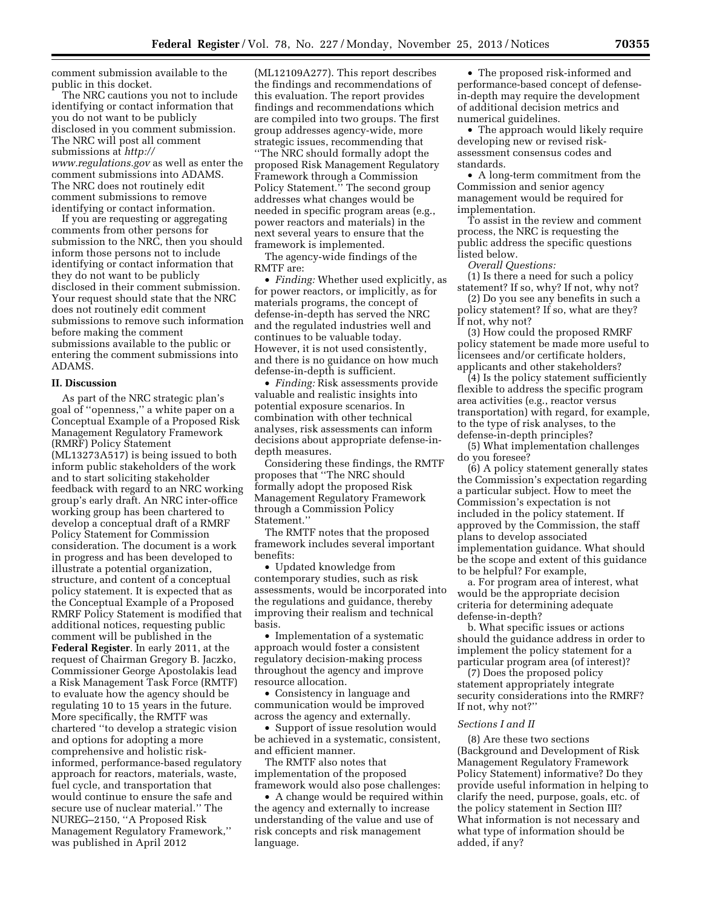comment submission available to the public in this docket.

The NRC cautions you not to include identifying or contact information that you do not want to be publicly disclosed in you comment submission. The NRC will post all comment submissions at *[http://](http://www.regulations.gov)  [www.regulations.gov](http://www.regulations.gov)* as well as enter the comment submissions into ADAMS. The NRC does not routinely edit comment submissions to remove identifying or contact information.

If you are requesting or aggregating comments from other persons for submission to the NRC, then you should inform those persons not to include identifying or contact information that they do not want to be publicly disclosed in their comment submission. Your request should state that the NRC does not routinely edit comment submissions to remove such information before making the comment submissions available to the public or entering the comment submissions into ADAMS.

## **II. Discussion**

As part of the NRC strategic plan's goal of ''openness,'' a white paper on a Conceptual Example of a Proposed Risk Management Regulatory Framework (RMRF) Policy Statement (ML13273A517) is being issued to both inform public stakeholders of the work and to start soliciting stakeholder feedback with regard to an NRC working group's early draft. An NRC inter-office working group has been chartered to develop a conceptual draft of a RMRF Policy Statement for Commission consideration. The document is a work in progress and has been developed to illustrate a potential organization, structure, and content of a conceptual policy statement. It is expected that as the Conceptual Example of a Proposed RMRF Policy Statement is modified that additional notices, requesting public comment will be published in the **Federal Register**. In early 2011, at the request of Chairman Gregory B. Jaczko, Commissioner George Apostolakis lead a Risk Management Task Force (RMTF) to evaluate how the agency should be regulating 10 to 15 years in the future. More specifically, the RMTF was chartered ''to develop a strategic vision and options for adopting a more comprehensive and holistic riskinformed, performance-based regulatory approach for reactors, materials, waste, fuel cycle, and transportation that would continue to ensure the safe and secure use of nuclear material.'' The NUREG–2150, ''A Proposed Risk Management Regulatory Framework,'' was published in April 2012

(ML12109A277). This report describes the findings and recommendations of this evaluation. The report provides findings and recommendations which are compiled into two groups. The first group addresses agency-wide, more strategic issues, recommending that ''The NRC should formally adopt the proposed Risk Management Regulatory Framework through a Commission Policy Statement." The second group addresses what changes would be needed in specific program areas (e.g., power reactors and materials) in the next several years to ensure that the framework is implemented.

The agency-wide findings of the RMTF are:

• *Finding:* Whether used explicitly, as for power reactors, or implicitly, as for materials programs, the concept of defense-in-depth has served the NRC and the regulated industries well and continues to be valuable today. However, it is not used consistently, and there is no guidance on how much defense-in-depth is sufficient.

• *Finding:* Risk assessments provide valuable and realistic insights into potential exposure scenarios. In combination with other technical analyses, risk assessments can inform decisions about appropriate defense-indepth measures.

Considering these findings, the RMTF proposes that ''The NRC should formally adopt the proposed Risk Management Regulatory Framework through a Commission Policy Statement.''

The RMTF notes that the proposed framework includes several important benefits:

• Updated knowledge from contemporary studies, such as risk assessments, would be incorporated into the regulations and guidance, thereby improving their realism and technical basis.

• Implementation of a systematic approach would foster a consistent regulatory decision-making process throughout the agency and improve resource allocation.

• Consistency in language and communication would be improved across the agency and externally.

• Support of issue resolution would be achieved in a systematic, consistent, and efficient manner.

The RMTF also notes that implementation of the proposed framework would also pose challenges:

• A change would be required within the agency and externally to increase understanding of the value and use of risk concepts and risk management language.

• The proposed risk-informed and performance-based concept of defensein-depth may require the development of additional decision metrics and numerical guidelines.

• The approach would likely require developing new or revised riskassessment consensus codes and standards.

• A long-term commitment from the Commission and senior agency management would be required for implementation.

To assist in the review and comment process, the NRC is requesting the public address the specific questions listed below.

*Overall Questions:* 

(1) Is there a need for such a policy statement? If so, why? If not, why not?

(2) Do you see any benefits in such a policy statement? If so, what are they? If not, why not?

(3) How could the proposed RMRF policy statement be made more useful to licensees and/or certificate holders, applicants and other stakeholders?

(4) Is the policy statement sufficiently flexible to address the specific program area activities (e.g., reactor versus transportation) with regard, for example, to the type of risk analyses, to the defense-in-depth principles?

(5) What implementation challenges do you foresee?

(6) A policy statement generally states the Commission's expectation regarding a particular subject. How to meet the Commission's expectation is not included in the policy statement. If approved by the Commission, the staff plans to develop associated implementation guidance. What should be the scope and extent of this guidance to be helpful? For example,

a. For program area of interest, what would be the appropriate decision criteria for determining adequate defense-in-depth?

b. What specific issues or actions should the guidance address in order to implement the policy statement for a particular program area (of interest)?

(7) Does the proposed policy statement appropriately integrate security considerations into the RMRF? If not, why not?''

#### *Sections I and II*

(8) Are these two sections (Background and Development of Risk Management Regulatory Framework Policy Statement) informative? Do they provide useful information in helping to clarify the need, purpose, goals, etc. of the policy statement in Section III? What information is not necessary and what type of information should be added, if any?